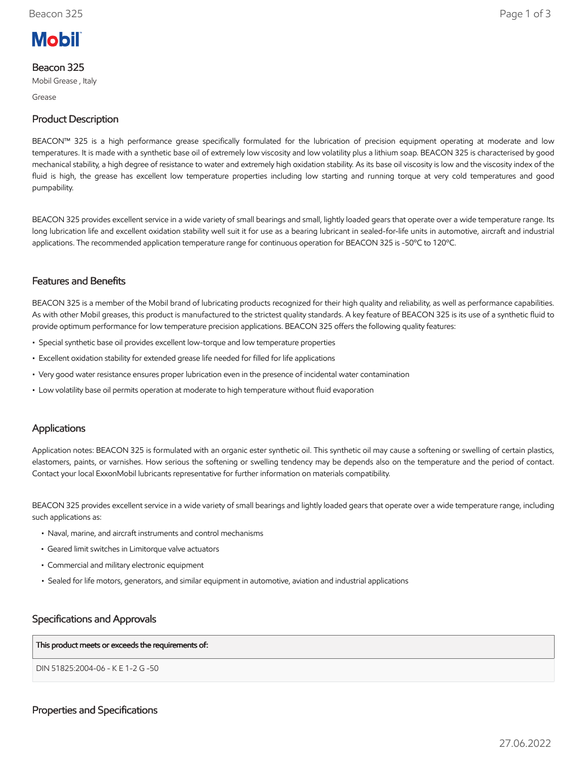

## Beacon 325

Mobil Grease , Italy

Grease

# Product Description

BEACON™ 325 is a high performance grease specifically formulated for the lubrication of precision equipment operating at moderate and low temperatures. It is made with a synthetic base oil of extremely low viscosity and low volatility plus a lithium soap. BEACON 325 is characterised by good mechanical stability, a high degree of resistance to water and extremely high oxidation stability. As its base oil viscosity is low and the viscosity index of the fluid is high, the grease has excellent low temperature properties including low starting and running torque at very cold temperatures and good pumpability.

BEACON 325 provides excellent service in a wide variety of small bearings and small, lightly loaded gears that operate over a wide temperature range. Its long lubrication life and excellent oxidation stability well suit it for use as a bearing lubricant in sealed-for-life units in automotive, aircraft and industrial applications. The recommended application temperature range for continuous operation for BEACON 325 is -50ºC to 120ºC.

## Features and Benefits

BEACON 325 is a member of the Mobil brand of lubricating products recognized for their high quality and reliability, as well as performance capabilities. As with other Mobil greases, this product is manufactured to the strictest quality standards. A key feature of BEACON 325 is its use of a synthetic fluid to provide optimum performance for low temperature precision applications. BEACON 325 offers the following quality features:

- Special synthetic base oil provides excellent low-torque and low temperature properties
- Excellent oxidation stability for extended grease life needed for filled for life applications
- Very good water resistance ensures proper lubrication even in the presence of incidental water contamination
- Low volatility base oil permits operation at moderate to high temperature without fluid evaporation

## Applications

Application notes: BEACON 325 is formulated with an organic ester synthetic oil. This synthetic oil may cause a softening or swelling of certain plastics, elastomers, paints, or varnishes. How serious the softening or swelling tendency may be depends also on the temperature and the period of contact. Contact your local ExxonMobil lubricants representative for further information on materials compatibility.

BEACON 325 provides excellent service in a wide variety of small bearings and lightly loaded gears that operate over a wide temperature range, including such applications as:

- Naval, marine, and aircraft instruments and control mechanisms
- Geared limit switches in Limitorque valve actuators
- Commercial and military electronic equipment
- Sealed for life motors, generators, and similar equipment in automotive, aviation and industrial applications

## Specifications and Approvals

This product meets or exceeds the requirements of:

DIN 51825:2004-06 - K E 1-2 G -50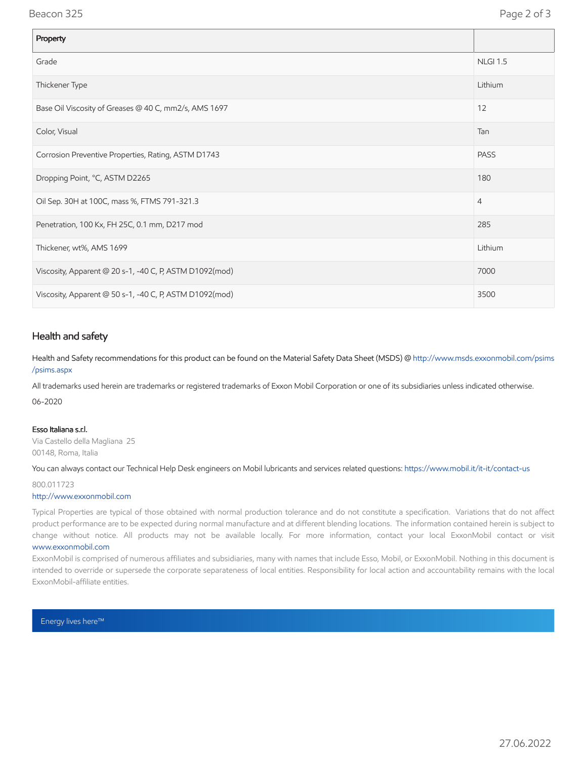### Beacon 325 Page 2 of 3

| Property                                                |                 |
|---------------------------------------------------------|-----------------|
| Grade                                                   | <b>NLGI 1.5</b> |
| Thickener Type                                          | Lithium         |
| Base Oil Viscosity of Greases @ 40 C, mm2/s, AMS 1697   | 12              |
| Color, Visual                                           | Tan             |
| Corrosion Preventive Properties, Rating, ASTM D1743     | <b>PASS</b>     |
| Dropping Point, °C, ASTM D2265                          | 180             |
| Oil Sep. 30H at 100C, mass %, FTMS 791-321.3            | 4               |
| Penetration, 100 Kx, FH 25C, 0.1 mm, D217 mod           | 285             |
| Thickener, wt%, AMS 1699                                | Lithium         |
| Viscosity, Apparent @ 20 s-1, -40 C, P, ASTM D1092(mod) | 7000            |
| Viscosity, Apparent @ 50 s-1, -40 C, P, ASTM D1092(mod) | 3500            |

## Health and safety

Health and Safety recommendations for this product can be found on the Material Safety Data Sheet (MSDS) @ [http://www.msds.exxonmobil.com/psims](http://www.msds.exxonmobil.com/psims/psims.aspx) /psims.aspx

All trademarks used herein are trademarks or registered trademarks of Exxon Mobil Corporation or one of its subsidiaries unless indicated otherwise.

06-2020

#### Esso Italiana s.r.l.

Via Castello della Magliana 25 00148, Roma, Italia

You can always contact our Technical Help Desk engineers on Mobil lubricants and services related questions:<https://www.mobil.it/it-it/contact-us>

800.011723

#### [http://www.exxonmobil.com](http://www.exxonmobil.com/)

Typical Properties are typical of those obtained with normal production tolerance and do not constitute a specification. Variations that do not affect product performance are to be expected during normal manufacture and at different blending locations. The information contained herein is subject to change without notice. All products may not be available locally. For more information, contact your local ExxonMobil contact or visit [www.exxonmobil.com](http://www.exxonmobil.com/)

ExxonMobil is comprised of numerous affiliates and subsidiaries, many with names that include Esso, Mobil, or ExxonMobil. Nothing in this document is intended to override or supersede the corporate separateness of local entities. Responsibility for local action and accountability remains with the local ExxonMobil-affiliate entities.

Energy lives here™